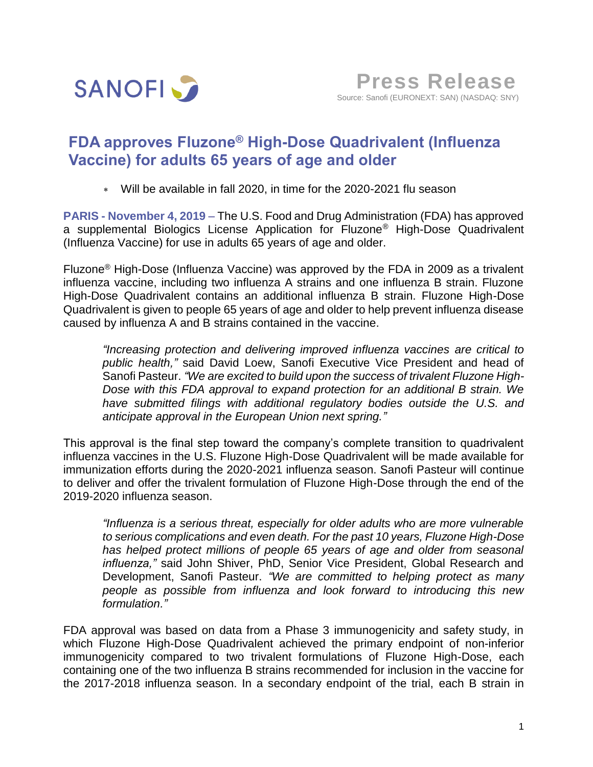

## **FDA approves Fluzone® High-Dose Quadrivalent (Influenza Vaccine) for adults 65 years of age and older**

Will be available in fall 2020, in time for the 2020-2021 flu season

**PARIS - November 4, 2019** – The U.S. Food and Drug Administration (FDA) has approved a supplemental Biologics License Application for Fluzone® High-Dose Quadrivalent (Influenza Vaccine) for use in adults 65 years of age and older.

Fluzone® High-Dose (Influenza Vaccine) was approved by the FDA in 2009 as a trivalent influenza vaccine, including two influenza A strains and one influenza B strain. Fluzone High-Dose Quadrivalent contains an additional influenza B strain. Fluzone High-Dose Quadrivalent is given to people 65 years of age and older to help prevent influenza disease caused by influenza A and B strains contained in the vaccine.

*"Increasing protection and delivering improved influenza vaccines are critical to public health,"* said David Loew, Sanofi Executive Vice President and head of Sanofi Pasteur. *"We are excited to build upon the success of trivalent Fluzone High-Dose with this FDA approval to expand protection for an additional B strain. We have submitted filings with additional regulatory bodies outside the U.S. and anticipate approval in the European Union next spring."*

This approval is the final step toward the company's complete transition to quadrivalent influenza vaccines in the U.S. Fluzone High-Dose Quadrivalent will be made available for immunization efforts during the 2020-2021 influenza season. Sanofi Pasteur will continue to deliver and offer the trivalent formulation of Fluzone High-Dose through the end of the 2019-2020 influenza season.

*"Influenza is a serious threat, especially for older adults who are more vulnerable to serious complications and even death. For the past 10 years, Fluzone High-Dose has helped protect millions of people 65 years of age and older from seasonal influenza,"* said John Shiver, PhD, Senior Vice President, Global Research and Development, Sanofi Pasteur. *"We are committed to helping protect as many people as possible from influenza and look forward to introducing this new formulation."*

FDA approval was based on data from a Phase 3 immunogenicity and safety study, in which Fluzone High-Dose Quadrivalent achieved the primary endpoint of non-inferior immunogenicity compared to two trivalent formulations of Fluzone High-Dose, each containing one of the two influenza B strains recommended for inclusion in the vaccine for the 2017-2018 influenza season. In a secondary endpoint of the trial, each B strain in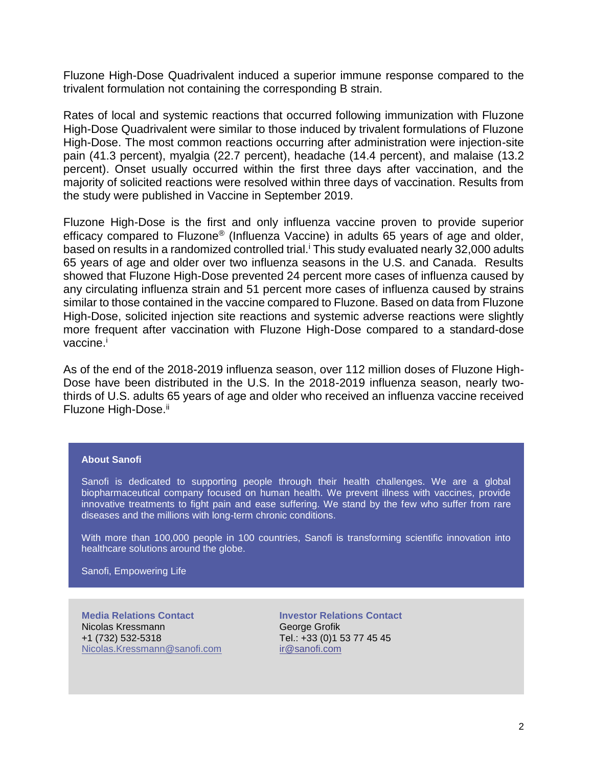Fluzone High-Dose Quadrivalent induced a superior immune response compared to the trivalent formulation not containing the corresponding B strain.

Rates of local and systemic reactions that occurred following immunization with Fluzone High-Dose Quadrivalent were similar to those induced by trivalent formulations of Fluzone High-Dose. The most common reactions occurring after administration were injection-site pain (41.3 percent), myalgia (22.7 percent), headache (14.4 percent), and malaise (13.2 percent). Onset usually occurred within the first three days after vaccination, and the majority of solicited reactions were resolved within three days of vaccination. Results from the study were published in Vaccine in September 2019.

Fluzone High-Dose is the first and only influenza vaccine proven to provide superior efficacy compared to Fluzone® (Influenza Vaccine) in adults 65 years of age and older, based on results in a randomized controlled trial.<sup>i</sup> This study evaluated nearly 32,000 adults 65 years of age and older over two influenza seasons in the U.S. and Canada. Results showed that Fluzone High-Dose prevented 24 percent more cases of influenza caused by any circulating influenza strain and 51 percent more cases of influenza caused by strains similar to those contained in the vaccine compared to Fluzone. Based on data from Fluzone High-Dose, solicited injection site reactions and systemic adverse reactions were slightly more frequent after vaccination with Fluzone High-Dose compared to a standard-dose vaccine.<sup>i</sup>

As of the end of the 2018-2019 influenza season, over 112 million doses of Fluzone High-Dose have been distributed in the U.S. In the 2018-2019 influenza season, nearly twothirds of U.S. adults 65 years of age and older who received an influenza vaccine received Fluzone High-Dose.<sup>ii</sup>

## **About Sanofi**

Sanofi is dedicated to supporting people through their health challenges. We are a global biopharmaceutical company focused on human health. We prevent illness with vaccines, provide innovative treatments to fight pain and ease suffering. We stand by the few who suffer from rare diseases and the millions with long-term chronic conditions.

With more than 100,000 people in 100 countries, Sanofi is transforming scientific innovation into healthcare solutions around the globe.

Sanofi, Empowering Life

**Media Relations Contact** Nicolas Kressmann +1 (732) 532-5318 Nicolas.Kressmann@sanofi.com **Investor Relations Contact** George Grofik Tel.: +33 (0)1 53 77 45 45 [ir@sanofi.com](mailto:ir@sanofi.com)